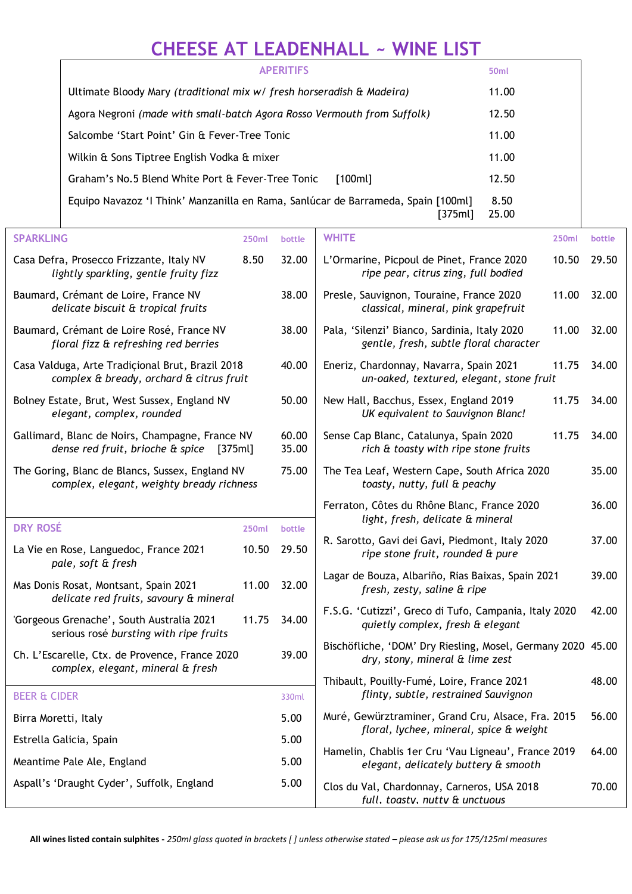## **CHEESE AT LEADENHALL ~ WINE LIST**

| <b>APERITIFS</b>                                                                             | 50 <sub>ml</sub> |
|----------------------------------------------------------------------------------------------|------------------|
| Ultimate Bloody Mary (traditional mix w/ fresh horseradish & Madeira)                        | 11.00            |
| Agora Negroni (made with small-batch Agora Rosso Vermouth from Suffolk)                      | 12.50            |
| Salcombe 'Start Point' Gin & Fever-Tree Tonic                                                | 11.00            |
| Wilkin & Sons Tiptree English Vodka & mixer                                                  | 11.00            |
| Graham's No.5 Blend White Port & Fever-Tree Tonic<br>[100ml]                                 | 12.50            |
| Equipo Navazoz 'I Think' Manzanilla en Rama, Sanlúcar de Barrameda, Spain [100ml]<br>[375ml] | 8.50<br>25.00    |

| <b>SPARKLING</b>                                                                               | <b>250ml</b> | bottle                                                                                                | <b>WHITE</b><br>250ml                                                                           | bottle |
|------------------------------------------------------------------------------------------------|--------------|-------------------------------------------------------------------------------------------------------|-------------------------------------------------------------------------------------------------|--------|
| Casa Defra, Prosecco Frizzante, Italy NV<br>lightly sparkling, gentle fruity fizz              | 8.50         | 32.00                                                                                                 | L'Ormarine, Picpoul de Pinet, France 2020<br>10.50<br>ripe pear, citrus zing, full bodied       | 29.50  |
| Baumard, Crémant de Loire, France NV<br>delicate biscuit & tropical fruits                     |              | 38.00                                                                                                 | Presle, Sauvignon, Touraine, France 2020<br>11.00<br>classical, mineral, pink grapefruit        | 32.00  |
| Baumard, Crémant de Loire Rosé, France NV<br>floral fizz & refreshing red berries              |              | 38.00                                                                                                 | Pala, 'Silenzi' Bianco, Sardinia, Italy 2020<br>11.00<br>gentle, fresh, subtle floral character | 32.00  |
| Casa Valduga, Arte Tradiçional Brut, Brazil 2018<br>complex & bready, orchard & citrus fruit   |              | 40.00                                                                                                 | Eneriz, Chardonnay, Navarra, Spain 2021<br>11.75<br>un-oaked, textured, elegant, stone fruit    | 34.00  |
| Bolney Estate, Brut, West Sussex, England NV<br>elegant, complex, rounded                      |              | 50.00                                                                                                 | New Hall, Bacchus, Essex, England 2019<br>11.75<br>UK equivalent to Sauvignon Blanc!            | 34.00  |
| Gallimard, Blanc de Noirs, Champagne, France NV<br>dense red fruit, brioche & spice<br>[375ml] |              | 60.00<br>35.00                                                                                        | Sense Cap Blanc, Catalunya, Spain 2020<br>11.75<br>rich & toasty with ripe stone fruits         | 34.00  |
| The Goring, Blanc de Blancs, Sussex, England NV<br>complex, elegant, weighty bready richness   |              | 75.00                                                                                                 | The Tea Leaf, Western Cape, South Africa 2020<br>toasty, nutty, full & peachy                   | 35.00  |
|                                                                                                |              |                                                                                                       | Ferraton, Côtes du Rhône Blanc, France 2020                                                     | 36.00  |
| <b>DRY ROSÉ</b>                                                                                | <b>250ml</b> | bottle                                                                                                | light, fresh, delicate & mineral                                                                |        |
| La Vie en Rose, Languedoc, France 2021<br>pale, soft & fresh                                   | 10.50        | 29.50                                                                                                 | R. Sarotto, Gavi dei Gavi, Piedmont, Italy 2020<br>ripe stone fruit, rounded & pure             | 37.00  |
| Mas Donis Rosat, Montsant, Spain 2021<br>delicate red fruits, savoury & mineral                | 11.00        | 32.00                                                                                                 | Lagar de Bouza, Albariño, Rias Baixas, Spain 2021<br>fresh, zesty, saline & ripe                | 39.00  |
| 'Gorgeous Grenache', South Australia 2021<br>serious rosé bursting with ripe fruits            | 11.75        | 34.00                                                                                                 | F.S.G. 'Cutizzi', Greco di Tufo, Campania, Italy 2020<br>quietly complex, fresh & elegant       | 42.00  |
| Ch. L'Escarelle, Ctx. de Provence, France 2020<br>complex, elegant, mineral & fresh            |              | 39.00                                                                                                 | Bischöfliche, 'DOM' Dry Riesling, Mosel, Germany 2020 45.00<br>dry, stony, mineral & lime zest  |        |
|                                                                                                |              |                                                                                                       | Thibault, Pouilly-Fumé, Loire, France 2021                                                      | 48.00  |
| <b>BEER &amp; CIDER</b>                                                                        |              | 330ml                                                                                                 | flinty, subtle, restrained Sauvignon                                                            |        |
| Birra Moretti, Italy                                                                           |              | Muré, Gewürztraminer, Grand Cru, Alsace, Fra. 2015<br>5.00<br>floral, lychee, mineral, spice & weight |                                                                                                 | 56.00  |
| Estrella Galicia, Spain                                                                        |              | 5.00                                                                                                  | Hamelin, Chablis 1er Cru 'Vau Ligneau', France 2019                                             | 64.00  |
| Meantime Pale Ale, England                                                                     | 5.00         |                                                                                                       | elegant, delicately buttery & smooth                                                            |        |
| Aspall's 'Draught Cyder', Suffolk, England                                                     |              | 5.00                                                                                                  | Clos du Val, Chardonnay, Carneros, USA 2018<br>70.00<br>full, toastv, nuttv & unctuous          |        |